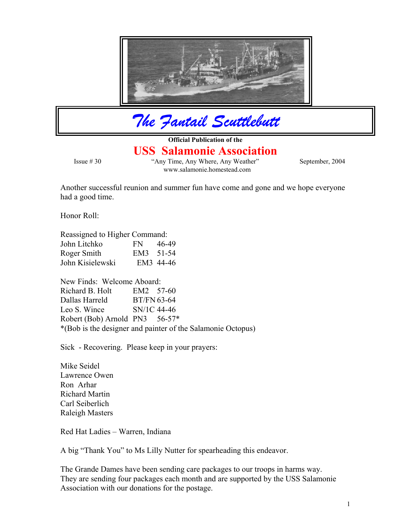

*The Fantail Scuttlebutt*

**Official Publication of the** 

## **USS Salamonie Association**

 Issue # 30 "Any Time, Any Where, Any Weather" September, 2004 www.salamonie.homestead.com

Another successful reunion and summer fun have come and gone and we hope everyone had a good time.

Honor Roll:

Reassigned to Higher Command:

| John Litchko     | FN.       | 46-49     |
|------------------|-----------|-----------|
| Roger Smith      | EM3 51-54 |           |
| John Kisielewski |           | EM3 44-46 |

New Finds: Welcome Aboard: Richard B. Holt EM2 57-60 Dallas Harreld BT/FN 63-64 Leo S. Wince SN/1C 44-46 Robert (Bob) Arnold PN3 56-57\* \*(Bob is the designer and painter of the Salamonie Octopus)

Sick - Recovering. Please keep in your prayers:

Mike Seidel Lawrence Owen Ron Arhar Richard Martin Carl Seiberlich Raleigh Masters

Red Hat Ladies – Warren, Indiana

A big "Thank You" to Ms Lilly Nutter for spearheading this endeavor.

The Grande Dames have been sending care packages to our troops in harms way. They are sending four packages each month and are supported by the USS Salamonie Association with our donations for the postage.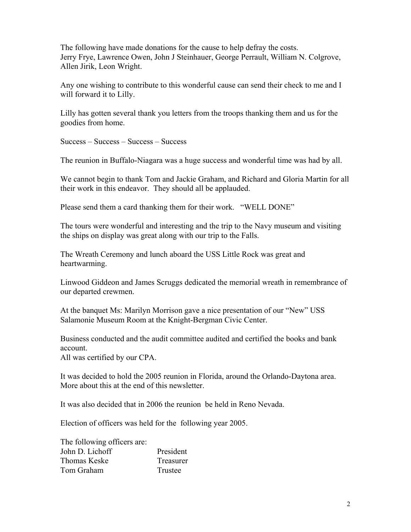The following have made donations for the cause to help defray the costs. Jerry Frye, Lawrence Owen, John J Steinhauer, George Perrault, William N. Colgrove, Allen Jirik, Leon Wright.

Any one wishing to contribute to this wonderful cause can send their check to me and I will forward it to Lilly.

Lilly has gotten several thank you letters from the troops thanking them and us for the goodies from home.

Success – Success – Success – Success

The reunion in Buffalo-Niagara was a huge success and wonderful time was had by all.

We cannot begin to thank Tom and Jackie Graham, and Richard and Gloria Martin for all their work in this endeavor. They should all be applauded.

Please send them a card thanking them for their work. "WELL DONE"

The tours were wonderful and interesting and the trip to the Navy museum and visiting the ships on display was great along with our trip to the Falls.

The Wreath Ceremony and lunch aboard the USS Little Rock was great and heartwarming.

Linwood Giddeon and James Scruggs dedicated the memorial wreath in remembrance of our departed crewmen.

At the banquet Ms: Marilyn Morrison gave a nice presentation of our "New" USS Salamonie Museum Room at the Knight-Bergman Civic Center.

Business conducted and the audit committee audited and certified the books and bank account.

All was certified by our CPA.

It was decided to hold the 2005 reunion in Florida, around the Orlando-Daytona area. More about this at the end of this newsletter.

It was also decided that in 2006 the reunion be held in Reno Nevada.

Election of officers was held for the following year 2005.

The following officers are: John D. Lichoff President Thomas Keske Treasurer Tom Graham Trustee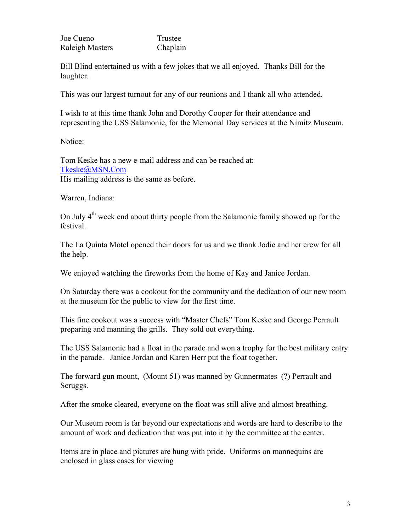| Joe Cueno              | Trustee  |  |
|------------------------|----------|--|
| <b>Raleigh Masters</b> | Chaplain |  |

Bill Blind entertained us with a few jokes that we all enjoyed. Thanks Bill for the laughter.

This was our largest turnout for any of our reunions and I thank all who attended.

I wish to at this time thank John and Dorothy Cooper for their attendance and representing the USS Salamonie, for the Memorial Day services at the Nimitz Museum.

Notice:

Tom Keske has a new e-mail address and can be reached at: [Tkeske@MSN.Com](mailto:Tkeske@MSN.Com) His mailing address is the same as before.

Warren, Indiana:

On July  $4<sup>th</sup>$  week end about thirty people from the Salamonie family showed up for the festival.

The La Quinta Motel opened their doors for us and we thank Jodie and her crew for all the help.

We enjoyed watching the fireworks from the home of Kay and Janice Jordan.

On Saturday there was a cookout for the community and the dedication of our new room at the museum for the public to view for the first time.

This fine cookout was a success with "Master Chefs" Tom Keske and George Perrault preparing and manning the grills. They sold out everything.

The USS Salamonie had a float in the parade and won a trophy for the best military entry in the parade. Janice Jordan and Karen Herr put the float together.

The forward gun mount, (Mount 51) was manned by Gunnermates (?) Perrault and Scruggs.

After the smoke cleared, everyone on the float was still alive and almost breathing.

Our Museum room is far beyond our expectations and words are hard to describe to the amount of work and dedication that was put into it by the committee at the center.

Items are in place and pictures are hung with pride. Uniforms on mannequins are enclosed in glass cases for viewing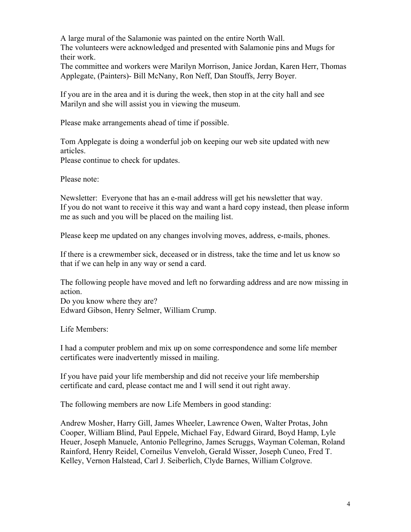A large mural of the Salamonie was painted on the entire North Wall. The volunteers were acknowledged and presented with Salamonie pins and Mugs for their work.

The committee and workers were Marilyn Morrison, Janice Jordan, Karen Herr, Thomas Applegate, (Painters)- Bill McNany, Ron Neff, Dan Stouffs, Jerry Boyer.

If you are in the area and it is during the week, then stop in at the city hall and see Marilyn and she will assist you in viewing the museum.

Please make arrangements ahead of time if possible.

Tom Applegate is doing a wonderful job on keeping our web site updated with new articles.

Please continue to check for updates.

Please note:

Newsletter: Everyone that has an e-mail address will get his newsletter that way. If you do not want to receive it this way and want a hard copy instead, then please inform me as such and you will be placed on the mailing list.

Please keep me updated on any changes involving moves, address, e-mails, phones.

If there is a crewmember sick, deceased or in distress, take the time and let us know so that if we can help in any way or send a card.

The following people have moved and left no forwarding address and are now missing in action. Do you know where they are? Edward Gibson, Henry Selmer, William Crump.

Life Members:

I had a computer problem and mix up on some correspondence and some life member certificates were inadvertently missed in mailing.

If you have paid your life membership and did not receive your life membership certificate and card, please contact me and I will send it out right away.

The following members are now Life Members in good standing:

Andrew Mosher, Harry Gill, James Wheeler, Lawrence Owen, Walter Protas, John Cooper, William Blind, Paul Eppele, Michael Fay, Edward Girard, Boyd Hamp, Lyle Heuer, Joseph Manuele, Antonio Pellegrino, James Scruggs, Wayman Coleman, Roland Rainford, Henry Reidel, Corneilus Venveloh, Gerald Wisser, Joseph Cuneo, Fred T. Kelley, Vernon Halstead, Carl J. Seiberlich, Clyde Barnes, William Colgrove.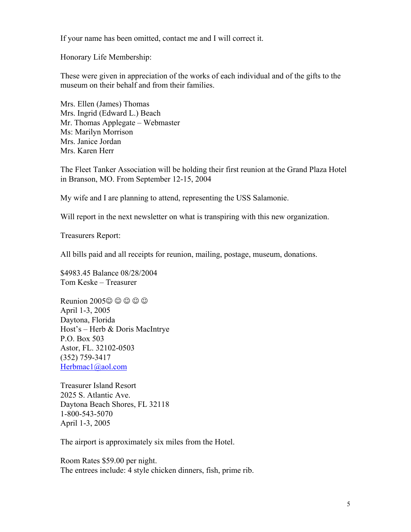If your name has been omitted, contact me and I will correct it.

Honorary Life Membership:

These were given in appreciation of the works of each individual and of the gifts to the museum on their behalf and from their families.

Mrs. Ellen (James) Thomas Mrs. Ingrid (Edward L.) Beach Mr. Thomas Applegate – Webmaster Ms: Marilyn Morrison Mrs. Janice Jordan Mrs. Karen Herr

The Fleet Tanker Association will be holding their first reunion at the Grand Plaza Hotel in Branson, MO. From September 12-15, 2004

My wife and I are planning to attend, representing the USS Salamonie.

Will report in the next newsletter on what is transpiring with this new organization.

Treasurers Report:

All bills paid and all receipts for reunion, mailing, postage, museum, donations.

\$4983.45 Balance 08/28/2004 Tom Keske – Treasurer

Reunion 2005 $\odot$   $\odot$   $\odot$   $\odot$ April 1-3, 2005 Daytona, Florida Host's – Herb & Doris MacIntrye P.O. Box 503 Astor, FL. 32102-0503 (352) 759-3417 [Herbmac1@aol.com](mailto:Herbmac1@aol.com)

Treasurer Island Resort 2025 S. Atlantic Ave. Daytona Beach Shores, FL 32118 1-800-543-5070 April 1-3, 2005

The airport is approximately six miles from the Hotel.

Room Rates \$59.00 per night. The entrees include: 4 style chicken dinners, fish, prime rib.